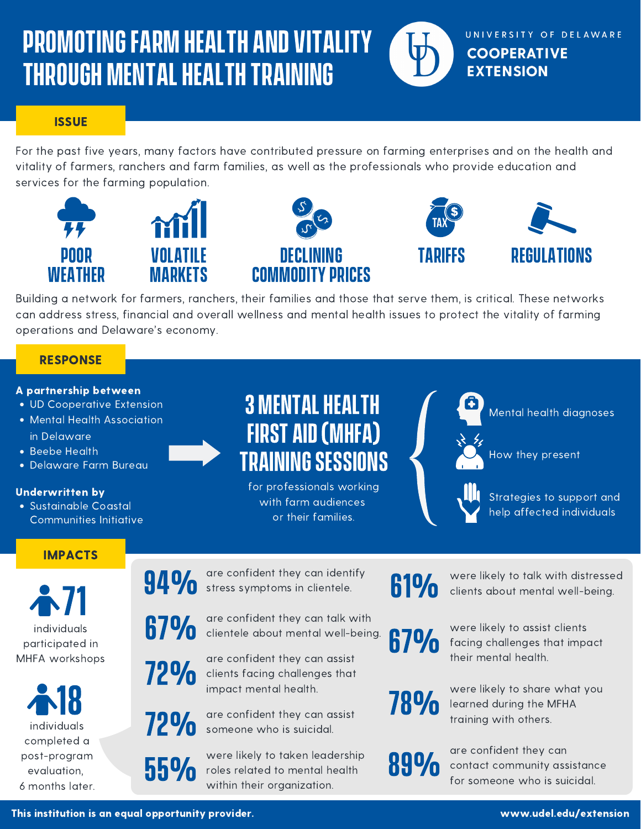# PROMOTINGFARM HEALTH AND VITALITY THROUGH MENTAL HEALTH TRAINING

**ISSUE** 

For the past five years, many factors have contributed pressure on farming enterprises and on the health and vitality of farmers, ranchers and farm families, as well as the professionals who provide education and services for the farming population.



Building a network for farmers, ranchers, their families and those that serve them, is critical. These networks can address stress, financial and overall wellness and mental health issues to protect the vitality of farming operations and Delaware's economy.

### **RESPONSE**

#### A partnership between

- UD Cooperative Extension
- Mental Health Association in Delaware
- Beebe Health
- Delaware Farm Bureau

#### Underwritten by

Sustainable Coastal Communities Initiative

## IMPACTS

individuals participated in MHFA workshops  $\sim 71$ 

individuals completed a post-program evaluation, 6 months later. 18

**3 MENTAL HEALTH** FIRST AID(MHFA) **TRAINING SESSIONS** 

for professionals working with farm audiences or their families.

Mental health diagnoses

UNIVERSITY OF DELAWARE

**COOPERATIVE EXTENSION** 



How they present



Strategies to support and help affected individuals

94% are confident they can identify stress symptoms in clientele. **610** 

**67%** are confident they care<br>**67%** clientele about menta are confident they can talk with clientele about mental well-being.  $\begin{array}{cc} \bigoplus \text{ 1\hskip-3pt I\hskip-3pt O \end{array}$  were likely to assist clientele about mental well-being.  $\begin{array}{cc} \text{ 6\hskip-3pt I\hskip-3pt O \end{array}$ 

Their mental health.<br>
Their mental health.<br>
their mental health.<br>
their mental health.<br>
were likely to share

clients facing challenges that impact mental health.<br>
are confident they can assist  $\overline{780}$  learned during the MF

are confident they can assist

**72%** are confident they can assist **10 %** training with others.

55% Were likely to Taken le were likely to taken leadership roles related to mental health

were likely to talk with distressed clients about mental well-being.

were likely to assist clients facing challenges that impact

were likely to share what you

learned during the MFHA

were likely to taken leadership<br>roles related to mental health **1999** contact community as<br>within their organization. are confident they can contact community assistance for someone who is suicidal.